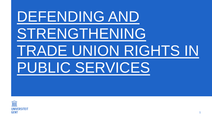# DEFENDING AND STRENGTHENING TRADE UNION RIGHTS IN PUBLIC SERVICES

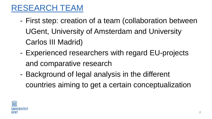### RESEARCH TEAM

- First step: creation of a team (collaboration between UGent, University of Amsterdam and University Carlos III Madrid)
- Experienced researchers with regard EU-projects and comparative research
- Background of legal analysis in the different countries aiming to get a certain conceptualization

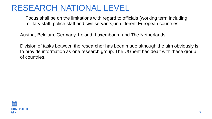### RESEARCH NATIONAL LEVEL

̶ Focus shall be on the limitations with regard to officials (working term including military staff, police staff and civil servants) in different European countries:

Austria, Belgium, Germany, Ireland, Luxembourg and The Netherlands

Division of tasks between the researcher has been made although the aim obviously is to provide information as one research group. The UGhent has dealt with these group of countries.



- 
-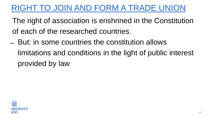- The right of association is enshrined in the Constitution of each of the researched countries.
- $-$  But: in some countries the constitution allows limitations and conditions in the light of public interest provided by law



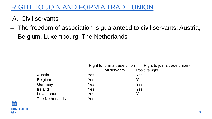### A. Civil servants

Right to join a trade union ositive right

- 
- 
- 
- 
- 

̶ The freedom of association is guaranteed to civil servants: Austria, Belgium, Luxembourg, The Netherlands

|                 | Right to form a trade union |     |
|-----------------|-----------------------------|-----|
|                 | - Civil servants            | Pos |
| <b>Austria</b>  | Yes                         | Yes |
| <b>Belgium</b>  | Yes                         | Yes |
| Germany         | Yes                         | Yes |
| Ireland         | Yes                         | Yes |
| Luxembourg      | Yes                         | Yes |
| The Netherlands | Yes                         |     |



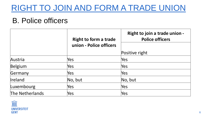### B. Police officers

# **Right to join a trade union - Police officers** right

|                 | <b>Right to form a trade</b><br>union - Police officers | <b>Right</b> |
|-----------------|---------------------------------------------------------|--------------|
|                 |                                                         | Positive r   |
| Austria         | Yes                                                     | Yes          |
| Belgium         | Yes                                                     | Yes          |
| Germany         | Yes                                                     | Yes          |
| Ireland         | No, but                                                 | No, but      |
| Luxembourg      | Yes                                                     | Yes          |
| The Netherlands | Yes                                                     | Yes          |



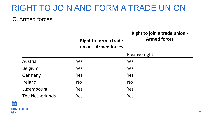### C. Armed forces

### **Right to join a trade union - Armed forces**

### ve right

|                        | <b>Right to form a trade</b> | <b>Right</b> |
|------------------------|------------------------------|--------------|
|                        | union - Armed forces         |              |
|                        |                              | Positiv      |
| Austria                | Yes                          | Yes          |
| Belgium                | Yes                          | Yes          |
| Germany                | Yes                          | Yes          |
| Ireland                | No                           | No           |
| Luxembourg             | Yes                          | Yes          |
| <b>The Netherlands</b> | Yes                          | Yes          |



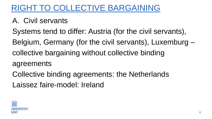# RIGHT TO COLLECTIVE BARGAINING

- A. Civil servants
- Systems tend to differ: Austria (for the civil servants),
- Belgium, Germany (for the civil servants), Luxemburg –
- collective bargaining without collective binding
- agreements
- Collective binding agreements: the Netherlands Laissez faire-model: Ireland



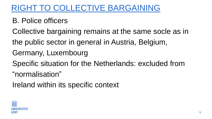# RIGHT TO COLLECTIVE BARGAINING

- B. Police officers
- Collective bargaining remains at the same socle as in
- the public sector in general in Austria, Belgium,
- Germany, Luxembourg
- Specific situation for the Netherlands: excluded from
- "normalisation"
- Ireland within its specific context



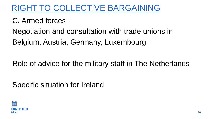### RIGHT TO COLLECTIVE BARGAINING

# C. Armed forces Negotiation and consultation with trade unions in Belgium, Austria, Germany, Luxembourg

### Role of advice for the military staff in The Netherlands

### Specific situation for Ireland



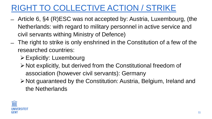# RIGHT TO COLLECTIVE ACTION / STRIKE

- ̶ Article 6, §4 (R)ESC was not accepted by: Austria, Luxembourg, (the Netherlands: with regard to military personnel in active service and civil servants withing Ministry of Defence)
- ̶ The right to strike is only enshrined in the Constitution of a few of the researched countries:
	- ➢Explicitly: Luxembourg
	- ➢Not explicitly, but derived from the Constitutional freedom of association (however civil servants): Germany ➢Not guaranteed by the Constitution: Austria, Belgium, Ireland and
	- the Netherlands



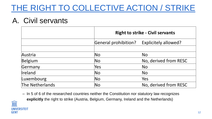### THE RIGHT TO COLLECTIVE ACTION / STRIKE

### A. Civil servants

|                 |                             | <b>Right to strike - Civil servants</b> |  |
|-----------------|-----------------------------|-----------------------------------------|--|
|                 | <b>General prohibition?</b> | <b>Explicitely allowed?</b>             |  |
|                 |                             |                                         |  |
| Austria         | $\overline{\textsf{No}}$    | <b>No</b>                               |  |
| Belgium         | $\overline{\textsf{No}}$    | No, derived from RESC                   |  |
| Germany         | Yes                         | <b>No</b>                               |  |
| Ireland         | $\overline{\textsf{No}}$    | <b>No</b>                               |  |
| Luxembourg      | $\overline{\textsf{No}}$    | Yes                                     |  |
| The Netherlands | $\overline{\textsf{No}}$    | No, derived from RESC                   |  |

– In 5 of 6 of the researched countries neither the Constitution nor statutory law recognizes **explicitly** the right to strike (Austria, Belgium, Germany, Ireland and the Netherlands)



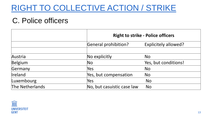### RIGHT TO COLLECTIVE ACTION / STRIKE

### C. Police officers

|                 |                             | <b>Right to strike - Police officers</b> |  |
|-----------------|-----------------------------|------------------------------------------|--|
|                 | <b>General prohibition?</b> | Explicitely allowed?                     |  |
|                 |                             |                                          |  |
| Austria         | No explicitly               | <b>No</b>                                |  |
| Belgium         | N <sub>O</sub>              | Yes, but conditions!                     |  |
| Germany         | Yes                         | <b>No</b>                                |  |
| Ireland         | Yes, but compensation       | <b>No</b>                                |  |
| Luxembourg      | Yes                         | <b>No</b>                                |  |
| The Netherlands | No, but casuistic case law  | <b>No</b>                                |  |



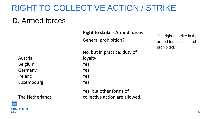### RIGHT TO COLLECTIVE ACTION / STRIKE

### D. Armed forces

|                 | <b>Right to strike - Armed forces</b> |  |
|-----------------|---------------------------------------|--|
|                 | <b>General prohibition?</b>           |  |
|                 |                                       |  |
|                 | No, but in practice: duty of          |  |
| Austria         | loyalty                               |  |
| Belgium         | Yes                                   |  |
| Germany         | Yes                                   |  |
| Ireland         | Yes                                   |  |
| Luxembourg      | Yes                                   |  |
|                 | Yes, but other forms of               |  |
| The Netherlands | collective action are allowed.        |  |



**UNIVERSITEIT GENT**